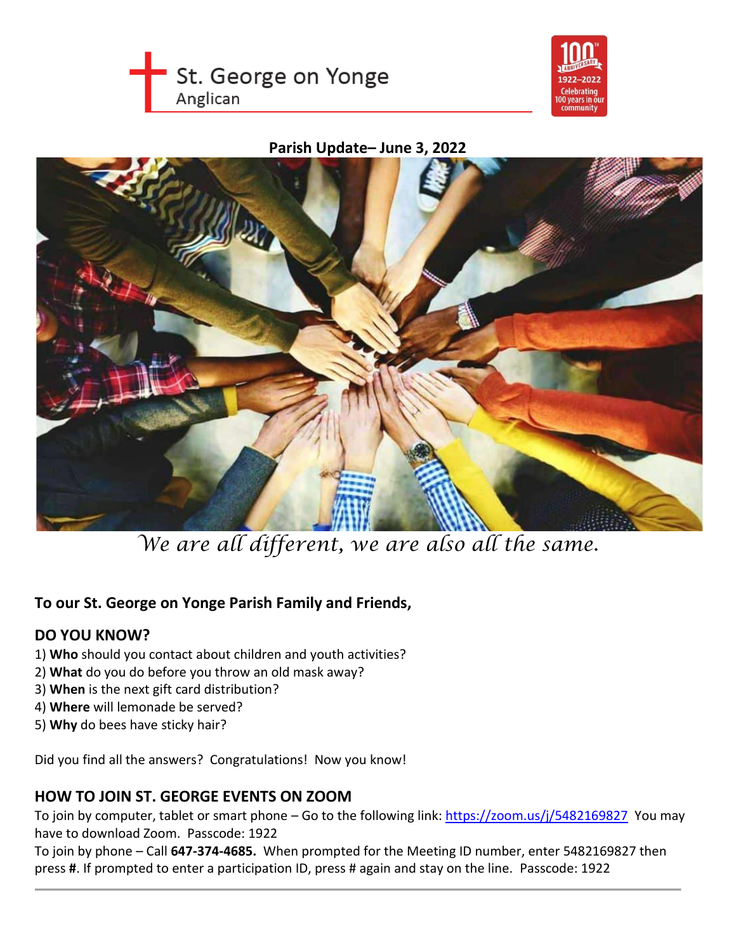



#### **Parish Update– June 3, 2022**



*We are all different, we are also all the same.*

## **To our St. George on Yonge Parish Family and Friends,**

#### **DO YOU KNOW?**

- 1) **Who** should you contact about children and youth activities?
- 2) **What** do you do before you throw an old mask away?
- 3) **When** is the next gift card distribution?
- 4) **Where** will lemonade be served?
- 5) **Why** do bees have sticky hair?

Did you find all the answers? Congratulations! Now you know!

#### **HOW TO JOIN ST. GEORGE EVENTS ON ZOOM**

To join by computer, tablet or smart phone – Go to the following link: [https://zoom.us/j/5482169827](https://zoom.us/j/5482169827?pwd=VWJyNU9pWnBJbWhuQSthSThHR2dlQT09) You may have to download Zoom. Passcode: 1922

To join by phone – Call **647-374-4685.** When prompted for the Meeting ID number, enter 5482169827 then press **#**. If prompted to enter a participation ID, press # again and stay on the line. Passcode: 1922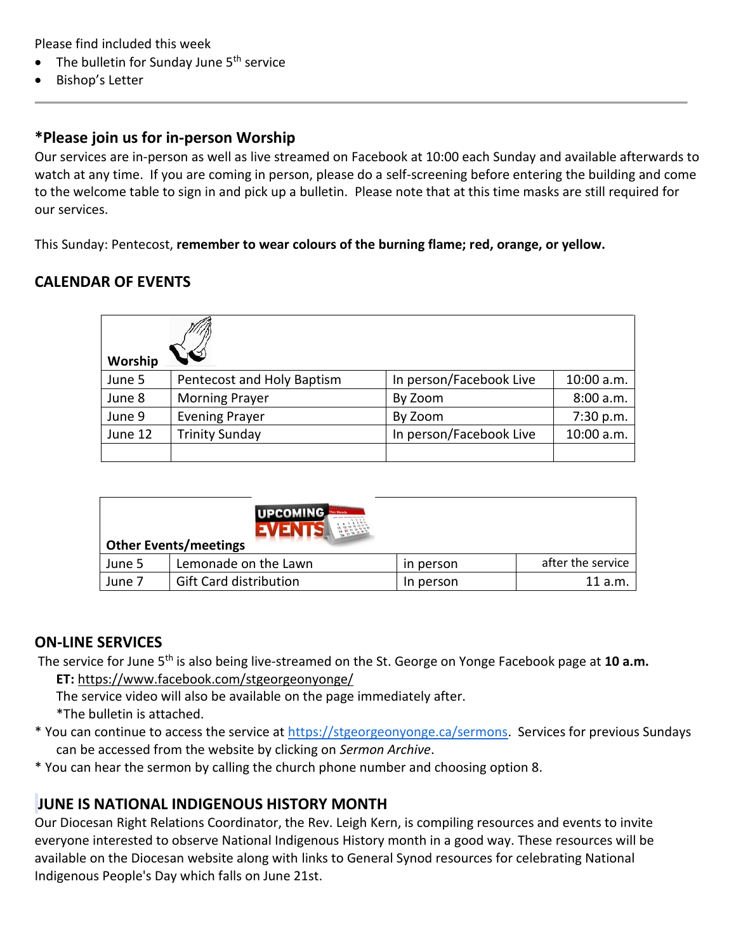Please find included this week

- The bulletin for Sunday June  $5<sup>th</sup>$  service
- Bishop's Letter

#### **\*Please join us for in-person Worship**

Our services are in-person as well as live streamed on Facebook at 10:00 each Sunday and available afterwards to watch at any time. If you are coming in person, please do a self-screening before entering the building and come to the welcome table to sign in and pick up a bulletin. Please note that at this time masks are still required for our services.

This Sunday: Pentecost, **remember to wear colours of the burning flame; red, orange, or yellow.**

#### **CALENDAR OF EVENTS**

| Worship |                            |                         |            |
|---------|----------------------------|-------------------------|------------|
| June 5  | Pentecost and Holy Baptism | In person/Facebook Live | 10:00 a.m. |
| June 8  | <b>Morning Prayer</b>      | By Zoom                 | 8:00a.m.   |
| June 9  | <b>Evening Prayer</b>      | By Zoom                 | 7:30 p.m.  |
| June 12 | <b>Trinity Sunday</b>      | In person/Facebook Live | 10:00 a.m. |
|         |                            |                         |            |

| <b>UPCOMING</b><br><b>Other Events/meetings</b> |                               |           |                   |  |  |
|-------------------------------------------------|-------------------------------|-----------|-------------------|--|--|
| June 5                                          | Lemonade on the Lawn          | in person | after the service |  |  |
| June 7                                          | <b>Gift Card distribution</b> | In person | 11 a.m.           |  |  |

#### **ON-LINE SERVICES**

- The service for June 5th is also being live-streamed on the St. George on Yonge Facebook page at **10 a.m. ET:** <https://www.facebook.com/stgeorgeonyonge/>
	- The service video will also be available on the page immediately after. \*The bulletin is attached.
- \* You can continue to access the service at [https://stgeorgeonyonge.ca/sermons.](https://stgeorgeonyonge.ca/sermons) Services for previous Sundays can be accessed from the website by clicking on *Sermon Archive*.
- \* You can hear the sermon by calling the church phone number and choosing option 8.

#### **JUNE IS NATIONAL INDIGENOUS HISTORY MONTH**

Our Diocesan Right Relations Coordinator, the Rev. Leigh Kern, is compiling resources and events to invite everyone interested to observe National Indigenous History month in a good way. These resources will be available on the Diocesan website along with links to General Synod resources for celebrating National Indigenous People's Day which falls on June 21st.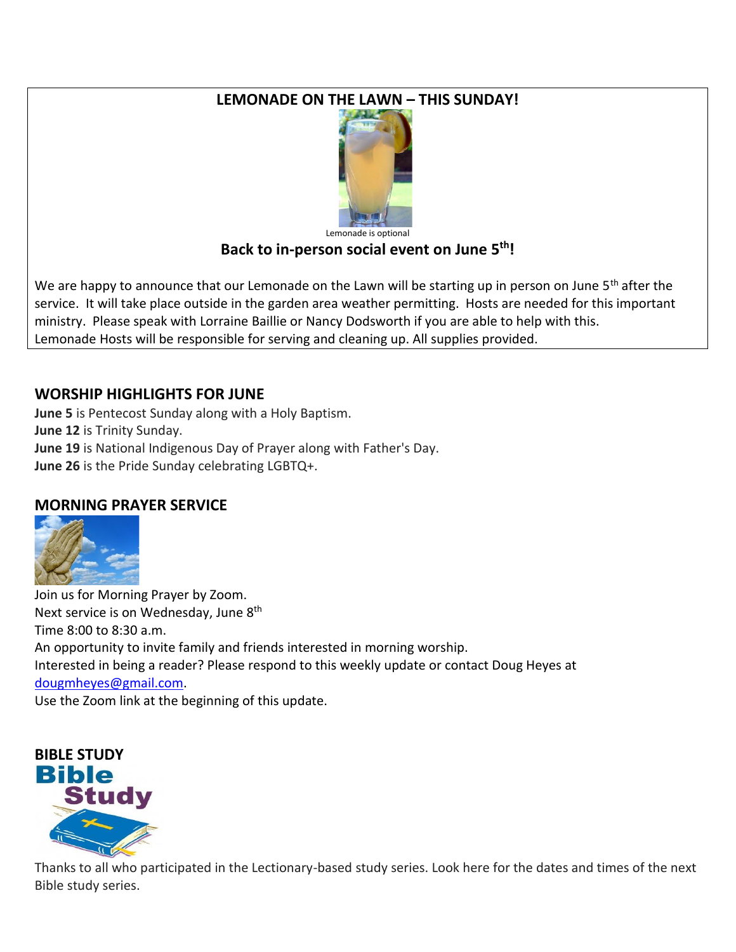## **LEMONADE ON THE LAWN – THIS SUNDAY!**



# **Back to in-person social event on June 5th!**

We are happy to announce that our Lemonade on the Lawn will be starting up in person on June 5<sup>th</sup> after the service. It will take place outside in the garden area weather permitting. Hosts are needed for this important ministry. Please speak with Lorraine Baillie or Nancy Dodsworth if you are able to help with this. Lemonade Hosts will be responsible for serving and cleaning up. All supplies provided.

## **WORSHIP HIGHLIGHTS FOR JUNE**

**June 5** is Pentecost Sunday along with a Holy Baptism. **June 12** is Trinity Sunday. **June 19** is National Indigenous Day of Prayer along with Father's Day. **June 26** is the Pride Sunday celebrating LGBTQ+.

## **MORNING PRAYER SERVICE**



Join us for Morning Prayer by Zoom. Next service is on Wednesday, June 8<sup>th</sup> Time 8:00 to 8:30 a.m. An opportunity to invite family and friends interested in morning worship. Interested in being a reader? Please respond to this weekly update or contact Doug Heyes at [dougmheyes@gmail.com.](mailto:dougmheyes@gmail.com) Use the Zoom link at the beginning of this update.



Thanks to all who participated in the Lectionary-based study series. Look here for the dates and times of the next Bible study series.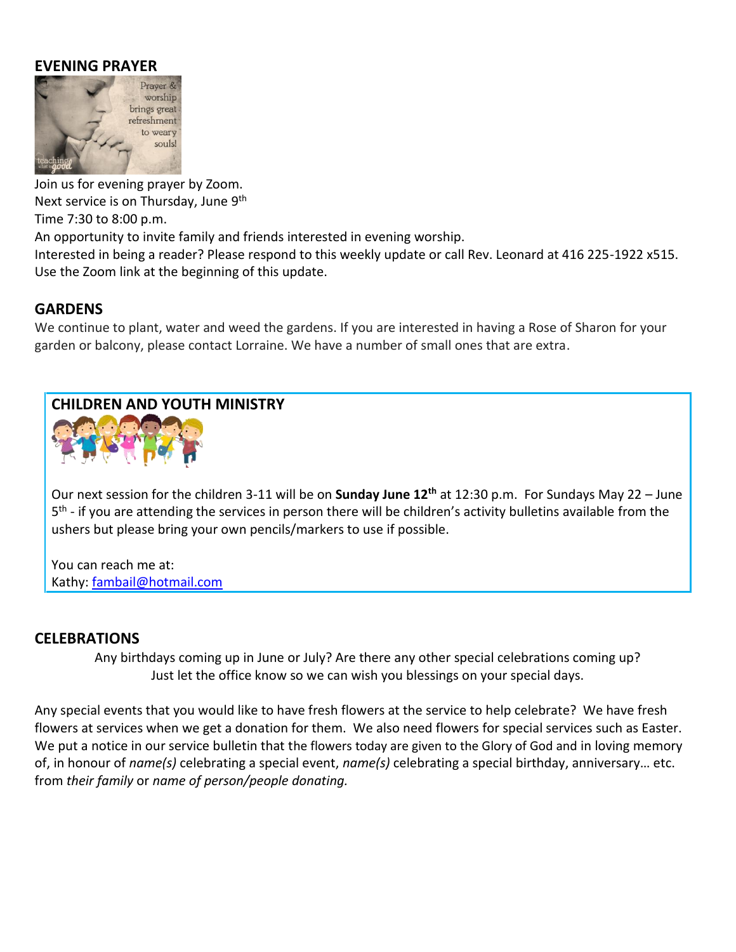#### **EVENING PRAYER**



Join us for evening prayer by Zoom. Next service is on Thursday, June 9<sup>th</sup> Time 7:30 to 8:00 p.m.

An opportunity to invite family and friends interested in evening worship.

Interested in being a reader? Please respond to this weekly update or call Rev. Leonard at 416 225-1922 x515. Use the Zoom link at the beginning of this update.

#### **GARDENS**

We continue to plant, water and weed the gardens. If you are interested in having a Rose of Sharon for your garden or balcony, please contact Lorraine. We have a number of small ones that are extra.

# **CHILDREN AND YOUTH MINISTRY**



Our next session for the children 3-11 will be on **Sunday June 12th** at 12:30 p.m. For Sundays May 22 – June 5<sup>th</sup> - if you are attending the services in person there will be children's activity bulletins available from the ushers but please bring your own pencils/markers to use if possible.

You can reach me at: Kathy: [fambail@hotmail.com](mailto:fambail@hotmail.com)

#### **CELEBRATIONS**

Any birthdays coming up in June or July? Are there any other special celebrations coming up? Just let the office know so we can wish you blessings on your special days.

Any special events that you would like to have fresh flowers at the service to help celebrate? We have fresh flowers at services when we get a donation for them. We also need flowers for special services such as Easter. We put a notice in our service bulletin that the flowers today are given to the Glory of God and in loving memory of, in honour of *name(s)* celebrating a special event, *name(s)* celebrating a special birthday, anniversary… etc. from *their family* or *name of person/people donating.*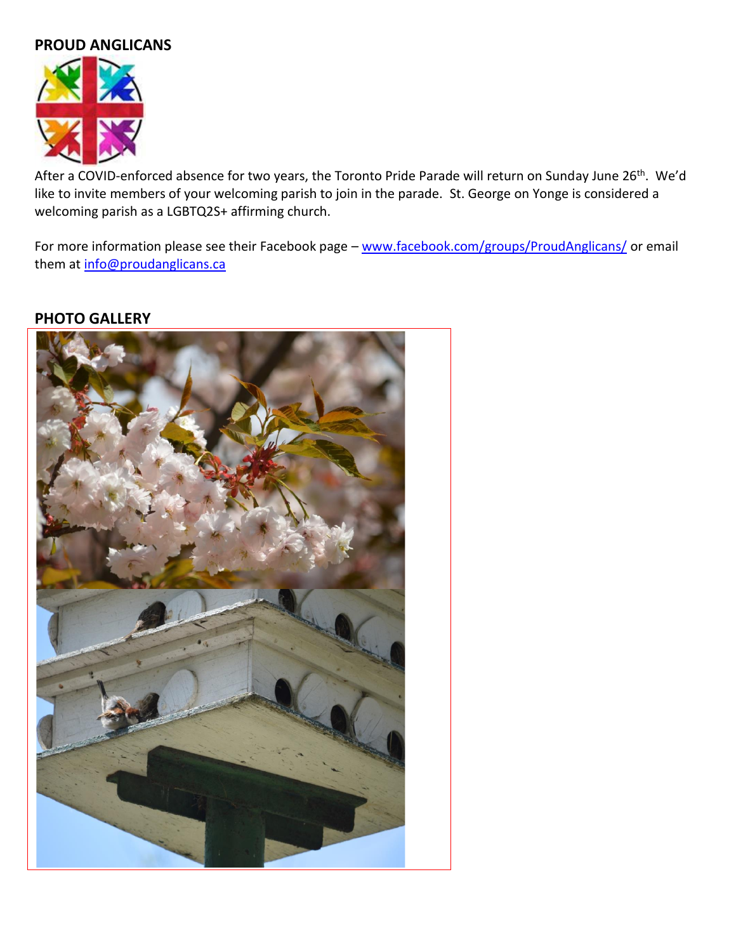## **PROUD ANGLICANS**



After a COVID-enforced absence for two years, the Toronto Pride Parade will return on Sunday June 26<sup>th</sup>. We'd like to invite members of your welcoming parish to join in the parade. St. George on Yonge is considered a welcoming parish as a LGBTQ2S+ affirming church.

For more information please see their Facebook page - [www.facebook.com/groups/ProudAnglicans/](http://www.facebook.com/groups/ProudAnglicans/) or email them at [info@proudanglicans.ca](mailto:info@proudanglicans.ca)

#### **PHOTO GALLERY**

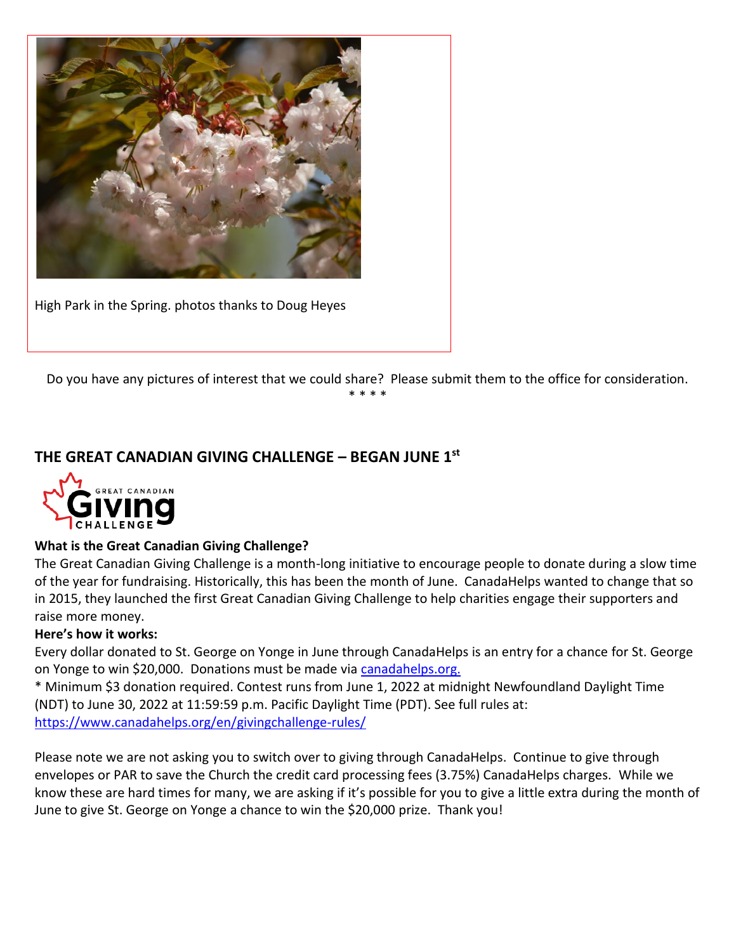

High Park in the Spring. photos thanks to Doug Heyes

Do you have any pictures of interest that we could share? Please submit them to the office for consideration.

\* \* \* \*

## **THE GREAT CANADIAN GIVING CHALLENGE – BEGAN JUNE 1st**



#### **What is the Great Canadian Giving Challenge?**

The Great Canadian Giving Challenge is a month-long initiative to encourage people to donate during a slow time of the year for fundraising. Historically, this has been the month of June. CanadaHelps wanted to change that so in 2015, they launched the first Great Canadian Giving Challenge to help charities engage their supporters and raise more money.

#### **Here's how it works:**

Every dollar donated to St. George on Yonge in June through CanadaHelps is an entry for a chance for St. George on Yonge to win \$20,000. Donations must be made via [canadahelps.org.](https://www.canadahelps.org/en/dn/49496) 

\* Minimum \$3 donation required. Contest runs from June 1, 2022 at midnight Newfoundland Daylight Time (NDT) to June 30, 2022 at 11:59:59 p.m. Pacific Daylight Time (PDT). See full rules at: <https://www.canadahelps.org/en/givingchallenge-rules/>

Please note we are not asking you to switch over to giving through CanadaHelps. Continue to give through envelopes or PAR to save the Church the credit card processing fees (3.75%) CanadaHelps charges. While we know these are hard times for many, we are asking if it's possible for you to give a little extra during the month of June to give St. George on Yonge a chance to win the \$20,000 prize. Thank you!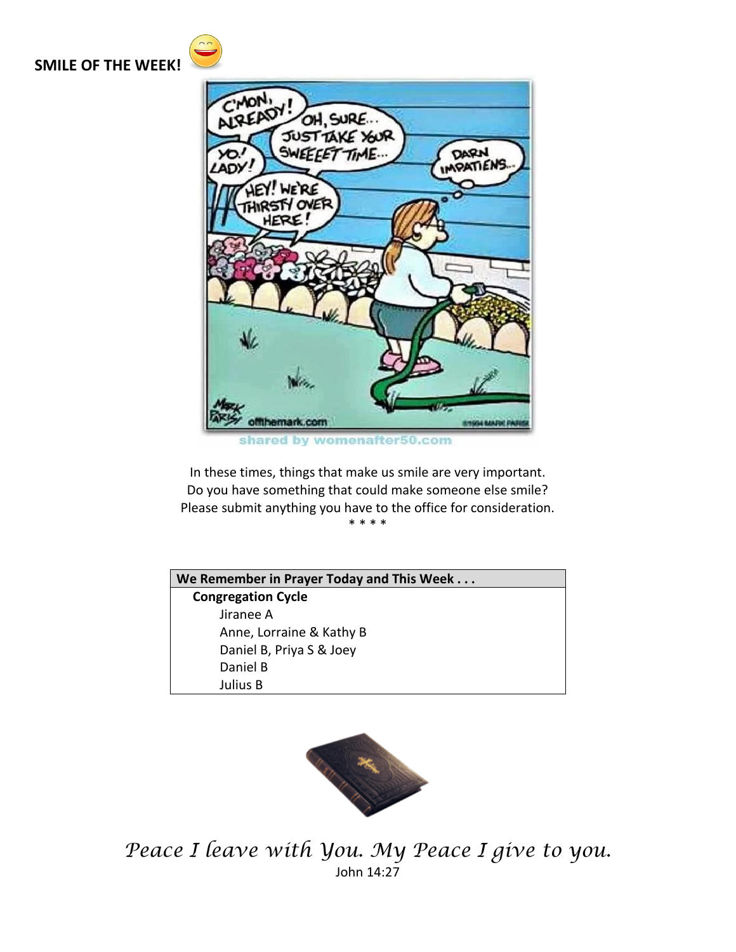#### **SMILE OF THE WEEK!**



shared by womenafter50.com

In these times, things that make us smile are very important. Do you have something that could make someone else smile? Please submit anything you have to the office for consideration. \* \* \* \*

**We Remember in Prayer Today and This Week . . . Congregation Cycle** Jiranee A Anne, Lorraine & Kathy B Daniel B, Priya S & Joey Daniel B Julius B



*Peace I leave with You. My Peace I give to you.* John 14:27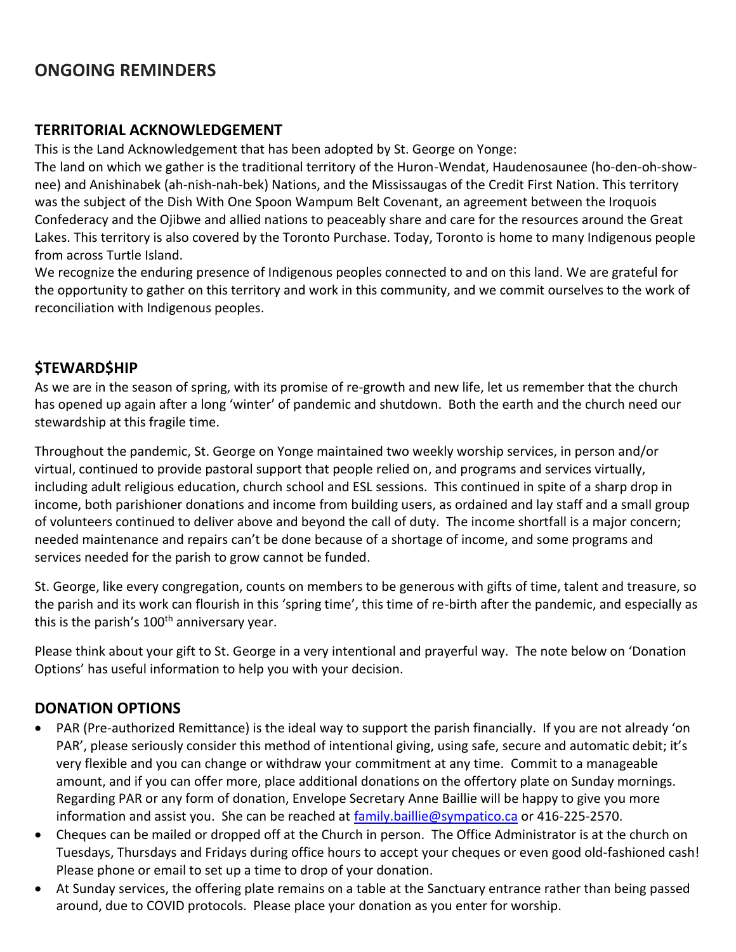## **ONGOING REMINDERS**

#### **TERRITORIAL ACKNOWLEDGEMENT**

This is the Land Acknowledgement that has been adopted by St. George on Yonge:

The land on which we gather is the traditional territory of the Huron-Wendat, Haudenosaunee (ho-den-oh-shownee) and Anishinabek (ah-nish-nah-bek) Nations, and the Mississaugas of the Credit First Nation. This territory was the subject of the Dish With One Spoon Wampum Belt Covenant, an agreement between the Iroquois Confederacy and the Ojibwe and allied nations to peaceably share and care for the resources around the Great Lakes. This territory is also covered by the Toronto Purchase. Today, Toronto is home to many Indigenous people from across Turtle Island.

We recognize the enduring presence of Indigenous peoples connected to and on this land. We are grateful for the opportunity to gather on this territory and work in this community, and we commit ourselves to the work of reconciliation with Indigenous peoples.

## **\$TEWARD\$HIP**

As we are in the season of spring, with its promise of re-growth and new life, let us remember that the church has opened up again after a long 'winter' of pandemic and shutdown. Both the earth and the church need our stewardship at this fragile time.

Throughout the pandemic, St. George on Yonge maintained two weekly worship services, in person and/or virtual, continued to provide pastoral support that people relied on, and programs and services virtually, including adult religious education, church school and ESL sessions. This continued in spite of a sharp drop in income, both parishioner donations and income from building users, as ordained and lay staff and a small group of volunteers continued to deliver above and beyond the call of duty. The income shortfall is a major concern; needed maintenance and repairs can't be done because of a shortage of income, and some programs and services needed for the parish to grow cannot be funded.

St. George, like every congregation, counts on members to be generous with gifts of time, talent and treasure, so the parish and its work can flourish in this 'spring time', this time of re-birth after the pandemic, and especially as this is the parish's  $100<sup>th</sup>$  anniversary year.

Please think about your gift to St. George in a very intentional and prayerful way. The note below on 'Donation Options' has useful information to help you with your decision.

## **DONATION OPTIONS**

- PAR (Pre-authorized Remittance) is the ideal way to support the parish financially. If you are not already 'on PAR', please seriously consider this method of intentional giving, using safe, secure and automatic debit; it's very flexible and you can change or withdraw your commitment at any time. Commit to a manageable amount, and if you can offer more, place additional donations on the offertory plate on Sunday mornings. Regarding PAR or any form of donation, Envelope Secretary Anne Baillie will be happy to give you more information and assist you. She can be reached at [family.baillie@sympatico.ca](mailto:family.baillie@sympatico.ca) or 416-225-2570.
- Cheques can be mailed or dropped off at the Church in person. The Office Administrator is at the church on Tuesdays, Thursdays and Fridays during office hours to accept your cheques or even good old-fashioned cash! Please phone or email to set up a time to drop of your donation.
- At Sunday services, the offering plate remains on a table at the Sanctuary entrance rather than being passed around, due to COVID protocols. Please place your donation as you enter for worship.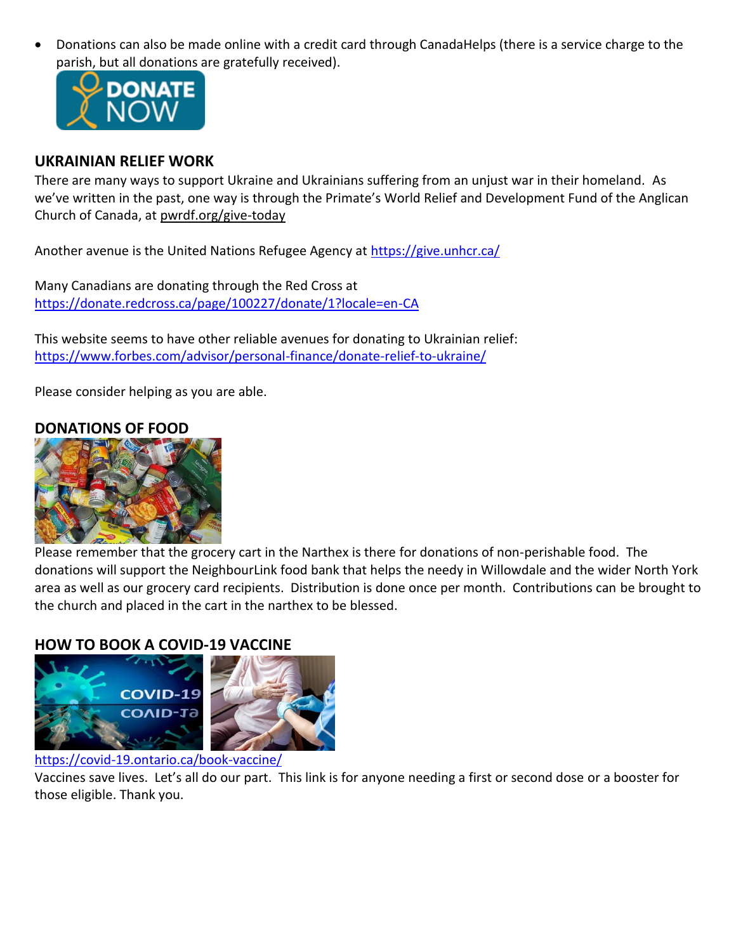• Donations can also be made online with a credit card through CanadaHelps (there is a service charge to the parish, but all donations are gratefully received).



#### **UKRAINIAN RELIEF WORK**

There are many ways to support Ukraine and Ukrainians suffering from an unjust war in their homeland. As we've written in the past, one way is through the Primate's World Relief and Development Fund of the Anglican Church of Canada, at [pwrdf.org/give-today](https://pwrdf.org/pwrdf-supports-bc-floods-with-10000-grant/)

Another avenue is the United Nations Refugee Agency at<https://give.unhcr.ca/>

Many Canadians are donating through the Red Cross at <https://donate.redcross.ca/page/100227/donate/1?locale=en-CA>

This website seems to have other reliable avenues for donating to Ukrainian relief: <https://www.forbes.com/advisor/personal-finance/donate-relief-to-ukraine/>

Please consider helping as you are able.

#### **DONATIONS OF FOOD**



Please remember that the grocery cart in the Narthex is there for donations of non-perishable food. The donations will support the NeighbourLink food bank that helps the needy in Willowdale and the wider North York area as well as our grocery card recipients. Distribution is done once per month. Contributions can be brought to the church and placed in the cart in the narthex to be blessed.

#### **HOW TO BOOK A COVID-19 VACCINE**



#### <https://covid-19.ontario.ca/book-vaccine/>

Vaccines save lives. Let's all do our part. This link is for anyone needing a first or second dose or a booster for those eligible. Thank you.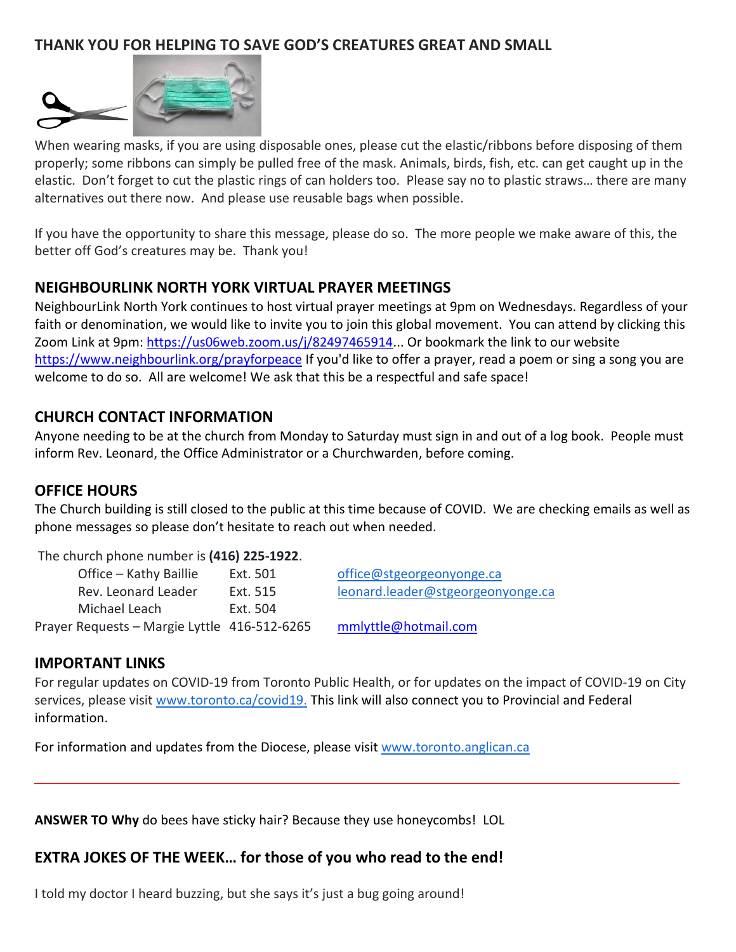## **THANK YOU FOR HELPING TO SAVE GOD'S CREATURES GREAT AND SMALL**



When wearing masks, if you are using disposable ones, please cut the elastic/ribbons before disposing of them properly; some ribbons can simply be pulled free of the mask. Animals, birds, fish, etc. can get caught up in the elastic. Don't forget to cut the plastic rings of can holders too. Please say no to plastic straws… there are many alternatives out there now. And please use reusable bags when possible.

If you have the opportunity to share this message, please do so. The more people we make aware of this, the better off God's creatures may be. Thank you!

#### **NEIGHBOURLINK NORTH YORK VIRTUAL PRAYER MEETINGS**

NeighbourLink North York continues to host virtual prayer meetings at 9pm on Wednesdays. Regardless of your faith or denomination, we would like to invite you to join this global movement. You can attend by clicking this Zoom Link at 9pm: [https://us06web.zoom.us/j/82497465914.](https://us06web.zoom.us/j/82497465914).. Or bookmark the link to our website <https://www.neighbourlink.org/prayforpeace> If you'd like to offer a prayer, read a poem or sing a song you are welcome to do so. All are welcome! We ask that this be a respectful and safe space!

#### **CHURCH CONTACT INFORMATION**

Anyone needing to be at the church from Monday to Saturday must sign in and out of a log book. People must inform Rev. Leonard, the Office Administrator or a Churchwarden, before coming.

#### **OFFICE HOURS**

The Church building is still closed to the public at this time because of COVID. We are checking emails as well as phone messages so please don't hesitate to reach out when needed.

The church phone number is **(416) 225-1922**.

| Office – Kathy Baillie                       | Ext. 501 | office@stgeorgeonyonge.ca         |
|----------------------------------------------|----------|-----------------------------------|
| Rev. Leonard Leader                          | Ext. 515 | leonard.leader@stgeorgeonyonge.ca |
| Michael Leach                                | Ext. 504 |                                   |
| Prayer Requests – Margie Lyttle 416-512-6265 |          | mmlyttle@hotmail.com              |

#### **IMPORTANT LINKS**

For regular updates on COVID-19 from Toronto Public Health, or for updates on the impact of COVID-19 on City services, please visit [www.toronto.ca/covid19.](https://johnfilion.us19.list-manage.com/track/click?u=ba96c30a44c71f2708e8ea8c9&id=1cdcf0ae5d&e=de2c19df00) This link will also connect you to Provincial and Federal information.

For information and updates from the Diocese, please visit [www.toronto.anglican.ca](http://www.toronto.anglican.ca/)

**ANSWER TO Why** do bees have sticky hair? Because they use honeycombs! LOL

#### **EXTRA JOKES OF THE WEEK… for those of you who read to the end!**

I told my doctor I heard buzzing, but she says it's just a bug going around!